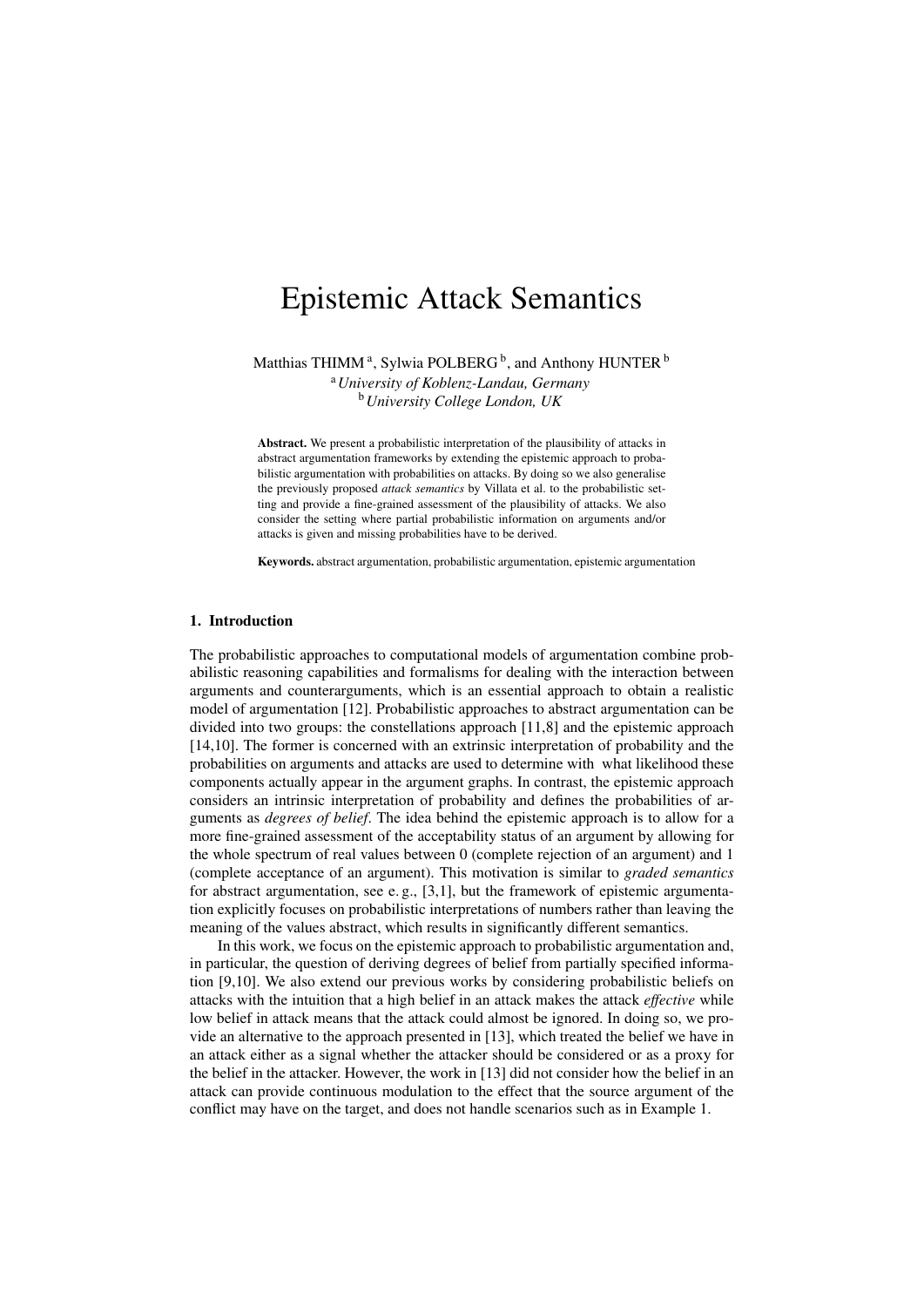# Epistemic Attack Semantics

Matthias THIMM<sup>a</sup>, Sylwia POLBERG<sup>b</sup>, and Anthony HUNTER  $^{\rm b}$ 

<sup>a</sup>*University of Koblenz-Landau, Germany* <sup>b</sup>*University College London, UK*

Abstract. We present a probabilistic interpretation of the plausibility of attacks in abstract argumentation frameworks by extending the epistemic approach to probabilistic argumentation with probabilities on attacks. By doing so we also generalise the previously proposed *attack semantics* by Villata et al. to the probabilistic setting and provide a fine-grained assessment of the plausibility of attacks. We also consider the setting where partial probabilistic information on arguments and/or attacks is given and missing probabilities have to be derived.

Keywords. abstract argumentation, probabilistic argumentation, epistemic argumentation

# 1. Introduction

The probabilistic approaches to computational models of argumentation combine probabilistic reasoning capabilities and formalisms for dealing with the interaction between arguments and counterarguments, which is an essential approach to obtain a realistic model of argumentation [12]. Probabilistic approaches to abstract argumentation can be divided into two groups: the constellations approach [11,8] and the epistemic approach [14,10]. The former is concerned with an extrinsic interpretation of probability and the probabilities on arguments and attacks are used to determine with what likelihood these components actually appear in the argument graphs. In contrast, the epistemic approach considers an intrinsic interpretation of probability and defines the probabilities of arguments as *degrees of belief*. The idea behind the epistemic approach is to allow for a more fine-grained assessment of the acceptability status of an argument by allowing for the whole spectrum of real values between 0 (complete rejection of an argument) and 1 (complete acceptance of an argument). This motivation is similar to *graded semantics* for abstract argumentation, see e.g.,  $[3,1]$ , but the framework of epistemic argumentation explicitly focuses on probabilistic interpretations of numbers rather than leaving the meaning of the values abstract, which results in significantly different semantics.

In this work, we focus on the epistemic approach to probabilistic argumentation and, in particular, the question of deriving degrees of belief from partially specified information [9,10]. We also extend our previous works by considering probabilistic beliefs on attacks with the intuition that a high belief in an attack makes the attack *effective* while low belief in attack means that the attack could almost be ignored. In doing so, we provide an alternative to the approach presented in [13], which treated the belief we have in an attack either as a signal whether the attacker should be considered or as a proxy for the belief in the attacker. However, the work in [13] did not consider how the belief in an attack can provide continuous modulation to the effect that the source argument of the conflict may have on the target, and does not handle scenarios such as in Example 1.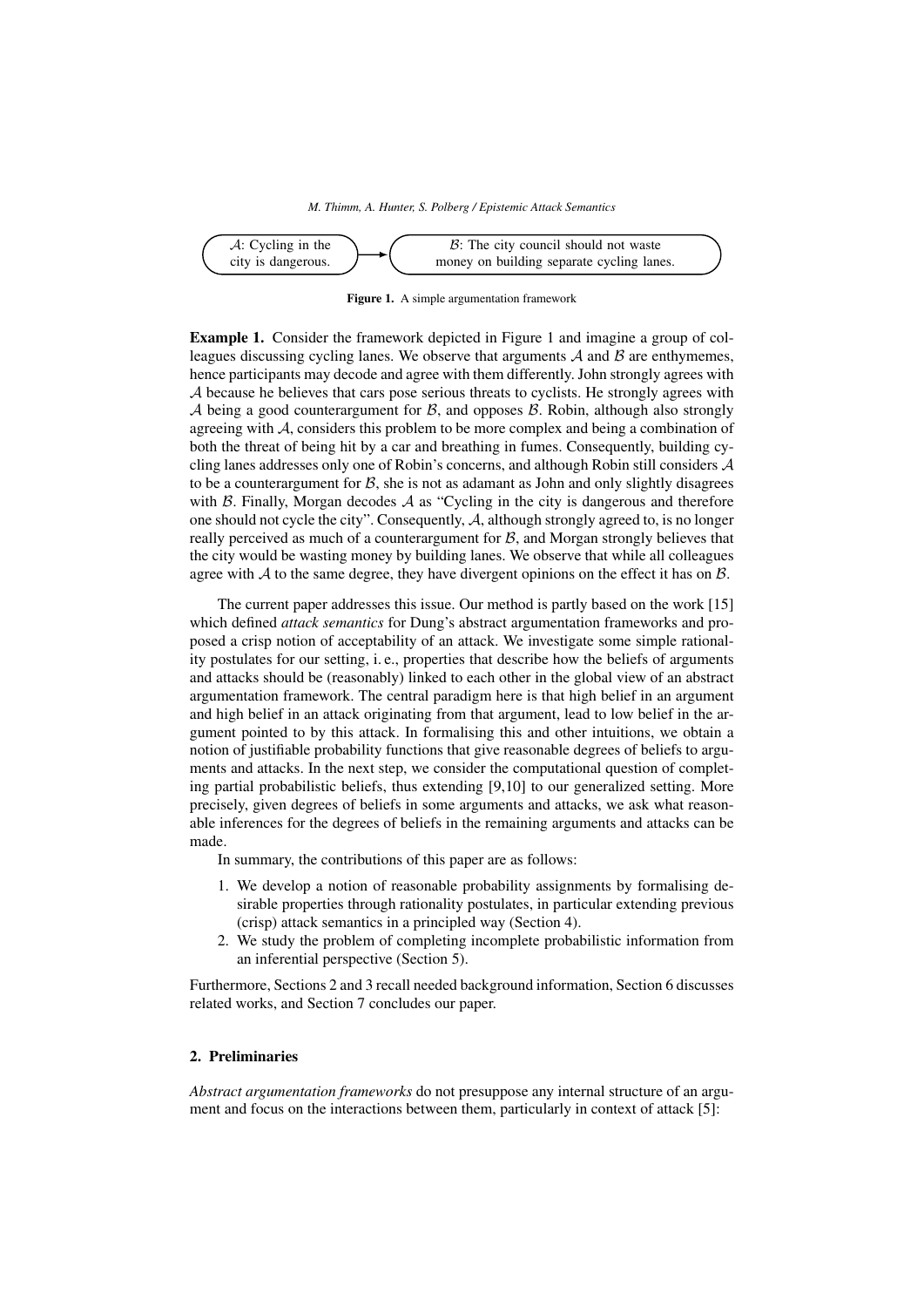

Figure 1. A simple argumentation framework

Example 1. Consider the framework depicted in Figure 1 and imagine a group of colleagues discussing cycling lanes. We observe that arguments  $A$  and  $B$  are enthymemes, hence participants may decode and agree with them differently. John strongly agrees with A because he believes that cars pose serious threats to cyclists. He strongly agrees with A being a good counterargument for  $\beta$ , and opposes  $\beta$ . Robin, although also strongly agreeing with A, considers this problem to be more complex and being a combination of both the threat of being hit by a car and breathing in fumes. Consequently, building cycling lanes addresses only one of Robin's concerns, and although Robin still considers A to be a counterargument for  $\mathcal{B}$ , she is not as adamant as John and only slightly disagrees with  $\beta$ . Finally, Morgan decodes  $\mathcal A$  as "Cycling in the city is dangerous and therefore one should not cycle the city". Consequently, A, although strongly agreed to, is no longer really perceived as much of a counterargument for  $\mathcal{B}$ , and Morgan strongly believes that the city would be wasting money by building lanes. We observe that while all colleagues agree with  $A$  to the same degree, they have divergent opinions on the effect it has on  $B$ .

The current paper addresses this issue. Our method is partly based on the work [15] which defined *attack semantics* for Dung's abstract argumentation frameworks and proposed a crisp notion of acceptability of an attack. We investigate some simple rationality postulates for our setting, i. e., properties that describe how the beliefs of arguments and attacks should be (reasonably) linked to each other in the global view of an abstract argumentation framework. The central paradigm here is that high belief in an argument and high belief in an attack originating from that argument, lead to low belief in the argument pointed to by this attack. In formalising this and other intuitions, we obtain a notion of justifiable probability functions that give reasonable degrees of beliefs to arguments and attacks. In the next step, we consider the computational question of completing partial probabilistic beliefs, thus extending [9,10] to our generalized setting. More precisely, given degrees of beliefs in some arguments and attacks, we ask what reasonable inferences for the degrees of beliefs in the remaining arguments and attacks can be made.

In summary, the contributions of this paper are as follows:

- 1. We develop a notion of reasonable probability assignments by formalising desirable properties through rationality postulates, in particular extending previous (crisp) attack semantics in a principled way (Section 4).
- 2. We study the problem of completing incomplete probabilistic information from an inferential perspective (Section 5).

Furthermore, Sections 2 and 3 recall needed background information, Section 6 discusses related works, and Section 7 concludes our paper.

# 2. Preliminaries

*Abstract argumentation frameworks* do not presuppose any internal structure of an argument and focus on the interactions between them, particularly in context of attack [5]: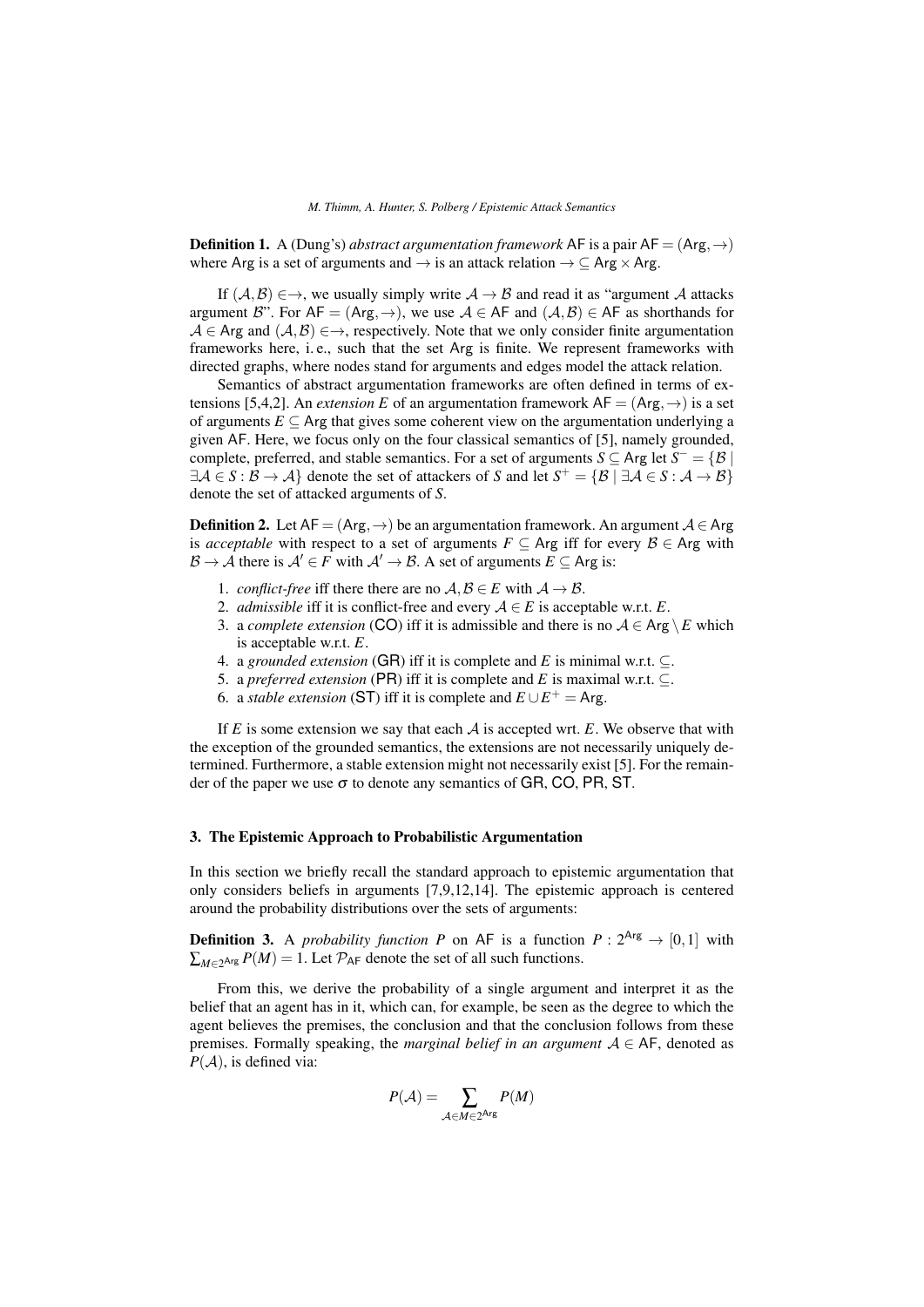**Definition 1.** A (Dung's) *abstract argumentation framework* AF is a pair  $AF = (Arg, \rightarrow)$ where Arg is a set of arguments and  $\rightarrow$  is an attack relation  $\rightarrow \subseteq$  Arg  $\times$  Arg.

If  $(A, B) \in \rightarrow$ , we usually simply write  $A \rightarrow B$  and read it as "argument A attacks" argument B". For  $AF = (Arg, \rightarrow)$ , we use  $A \in AF$  and  $(A, B) \in AF$  as shorthands for  $A \in \text{Arg}$  and  $(A, B) \in \rightarrow$ , respectively. Note that we only consider finite argumentation frameworks here, i. e., such that the set Arg is finite. We represent frameworks with directed graphs, where nodes stand for arguments and edges model the attack relation.

Semantics of abstract argumentation frameworks are often defined in terms of extensions [5,4,2]. An *extension E* of an argumentation framework  $AF = (Arg, \rightarrow)$  is a set of arguments  $E \subset \text{Arg}$  that gives some coherent view on the argumentation underlying a given AF. Here, we focus only on the four classical semantics of [5], namely grounded, complete, preferred, and stable semantics. For a set of arguments  $S \subseteq \text{Arg}$  let  $S^- = \{B \}$  $\exists \mathcal{A} \in S : \mathcal{B} \to \mathcal{A} \}$  denote the set of attackers of *S* and let  $S^+ = \{ \mathcal{B} \mid \exists \mathcal{A} \in S : \mathcal{A} \to \mathcal{B} \}$ denote the set of attacked arguments of *S*.

**Definition 2.** Let  $AF = (Arg, \rightarrow)$  be an argumentation framework. An argument  $A \in Arg$ is *acceptable* with respect to a set of arguments  $F \subseteq \text{Arg}$  iff for every  $B \in \text{Arg}$  with  $\mathcal{B} \to \mathcal{A}$  there is  $\mathcal{A}' \in F$  with  $\mathcal{A}' \to \mathcal{B}$ . A set of arguments  $E \subseteq \text{Arg}$  is:

- 1. *conflict-free* iff there there are no  $A, B \in E$  with  $A \rightarrow B$ .
- 2. *admissible* iff it is conflict-free and every  $A \in E$  is acceptable w.r.t. *E*.
- 3. a *complete extension* (CO) iff it is admissible and there is no  $A \in \text{Arg} \setminus E$  which is acceptable w.r.t. *E*.
- 4. a *grounded extension* (GR) iff it is complete and *E* is minimal w.r.t. ⊆.
- 5. a *preferred extension* (PR) iff it is complete and *E* is maximal w.r.t. ⊆.
- 6. a *stable extension* (ST) iff it is complete and  $E \cup E^+$  = Arg.

If  $E$  is some extension we say that each  $A$  is accepted wrt.  $E$ . We observe that with the exception of the grounded semantics, the extensions are not necessarily uniquely determined. Furthermore, a stable extension might not necessarily exist [5]. For the remainder of the paper we use  $\sigma$  to denote any semantics of GR, CO, PR, ST.

#### 3. The Epistemic Approach to Probabilistic Argumentation

In this section we briefly recall the standard approach to epistemic argumentation that only considers beliefs in arguments [7,9,12,14]. The epistemic approach is centered around the probability distributions over the sets of arguments:

**Definition 3.** A *probability function P* on AF is a function  $P: 2^{Arg} \rightarrow [0,1]$  with  $\sum_{M \in 2^{\text{Arg}}} P(M) = 1$ . Let  $\mathcal{P}_{\text{AF}}$  denote the set of all such functions.

From this, we derive the probability of a single argument and interpret it as the belief that an agent has in it, which can, for example, be seen as the degree to which the agent believes the premises, the conclusion and that the conclusion follows from these premises. Formally speaking, the *marginal belief in an argument*  $A \in AF$ , denoted as  $P(A)$ , is defined via:

$$
P(\mathcal{A}) = \sum_{\mathcal{A} \in M \in 2^{\mathrm{Arg}}} P(M)
$$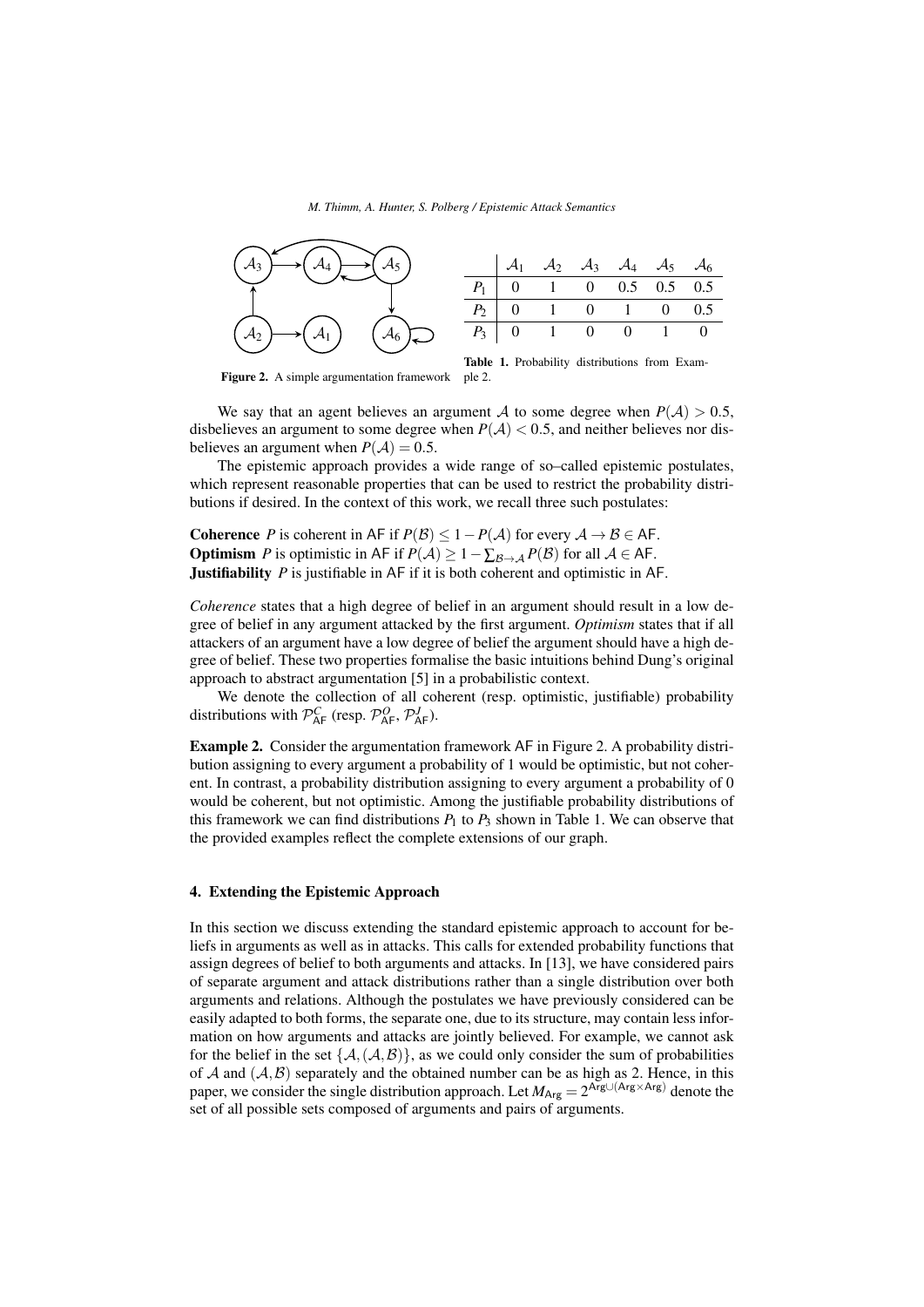*M. Thimm, A. Hunter, S. Polberg / Epistemic Attack Semantics*



Figure 2. A simple argumentation framework



We say that an agent believes an argument A to some degree when  $P(A) > 0.5$ , disbelieves an argument to some degree when  $P(\mathcal{A}) < 0.5$ , and neither believes nor disbelieves an argument when  $P(A) = 0.5$ .

The epistemic approach provides a wide range of so–called epistemic postulates, which represent reasonable properties that can be used to restrict the probability distributions if desired. In the context of this work, we recall three such postulates:

**Coherence** *P* is coherent in AF if  $P(\mathcal{B}) \leq 1 - P(\mathcal{A})$  for every  $\mathcal{A} \to \mathcal{B} \in$  AF. **Optimism** *P* is optimistic in AF if  $P(A) \ge 1 - \sum_{\mathcal{B} \to \mathcal{A}} P(\mathcal{B})$  for all  $A \in \mathsf{AF}$ . **Justifiability** *P* is justifiable in AF if it is both coherent and optimistic in AF.

*Coherence* states that a high degree of belief in an argument should result in a low degree of belief in any argument attacked by the first argument. *Optimism* states that if all attackers of an argument have a low degree of belief the argument should have a high degree of belief. These two properties formalise the basic intuitions behind Dung's original approach to abstract argumentation [5] in a probabilistic context.

We denote the collection of all coherent (resp. optimistic, justifiable) probability distributions with  $\mathcal{P}_{AF}^C$  (resp.  $\mathcal{P}_{AF}^O$ ,  $\mathcal{P}_{AF}^J$ ).

Example 2. Consider the argumentation framework AF in Figure 2. A probability distribution assigning to every argument a probability of 1 would be optimistic, but not coherent. In contrast, a probability distribution assigning to every argument a probability of 0 would be coherent, but not optimistic. Among the justifiable probability distributions of this framework we can find distributions  $P_1$  to  $P_3$  shown in Table 1. We can observe that the provided examples reflect the complete extensions of our graph.

## 4. Extending the Epistemic Approach

In this section we discuss extending the standard epistemic approach to account for beliefs in arguments as well as in attacks. This calls for extended probability functions that assign degrees of belief to both arguments and attacks. In [13], we have considered pairs of separate argument and attack distributions rather than a single distribution over both arguments and relations. Although the postulates we have previously considered can be easily adapted to both forms, the separate one, due to its structure, may contain less information on how arguments and attacks are jointly believed. For example, we cannot ask for the belief in the set  $\{A, (A, B)\}\$ , as we could only consider the sum of probabilities of  $A$  and  $(A, B)$  separately and the obtained number can be as high as 2. Hence, in this paper, we consider the single distribution approach. Let  $M_{\text{Arg}} = 2^{\text{Arg} \cup (\text{Arg} \times \text{Arg})}$  denote the set of all possible sets composed of arguments and pairs of arguments.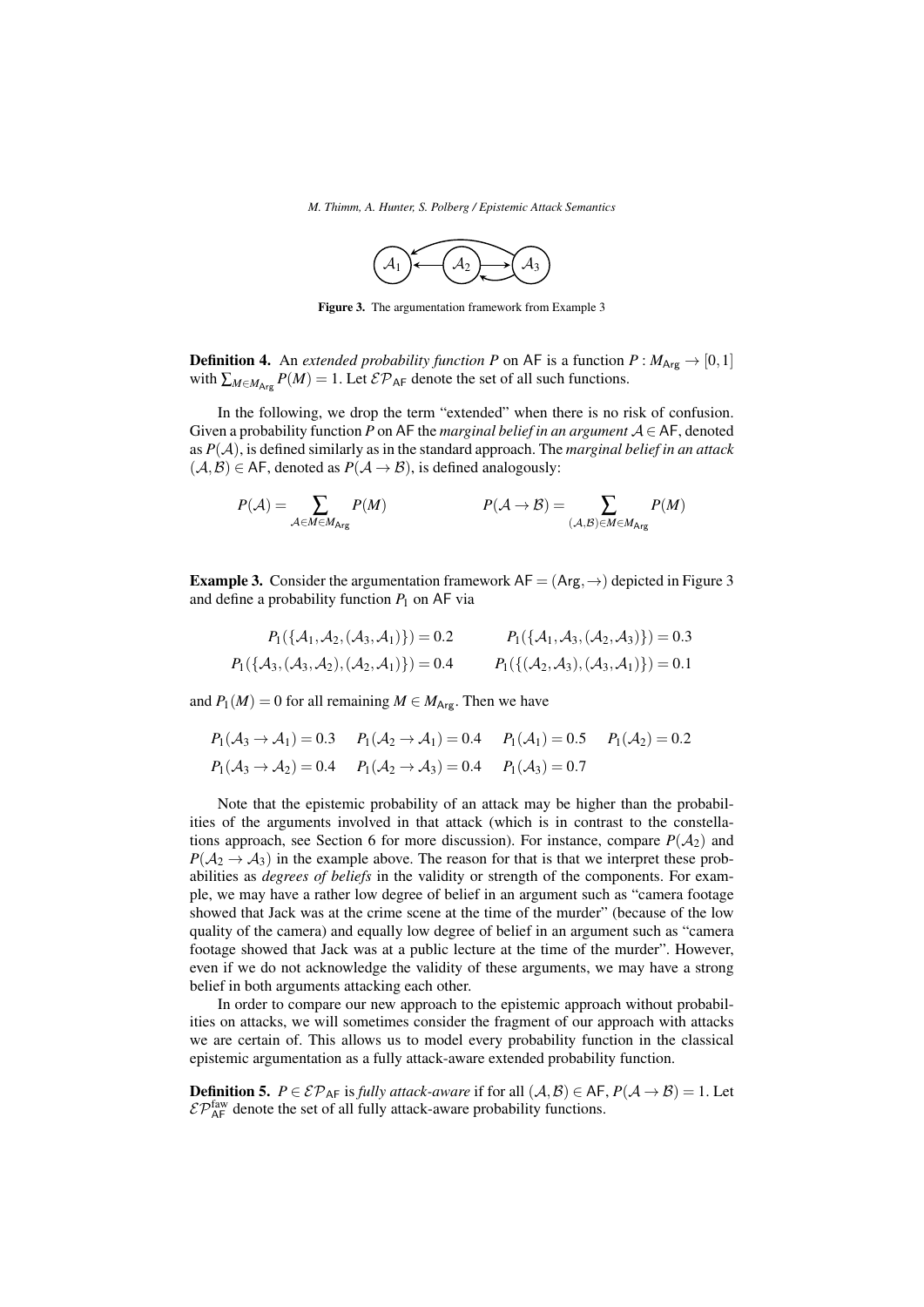

Figure 3. The argumentation framework from Example 3

**Definition 4.** An *extended probability function P* on AF is a function  $P : M_{\text{Arg}} \rightarrow [0,1]$ with  $\sum_{M \in M_{\text{Arg}}} P(M) = 1$ . Let  $\mathcal{EP}_{\text{AF}}$  denote the set of all such functions.

In the following, we drop the term "extended" when there is no risk of confusion. Given a probability function *P* on AF the *marginal belief in an argument*  $A \in$  AF, denoted as *P*(A), is defined similarly as in the standard approach. The *marginal belief in an attack*  $(A, B) \in AF$ , denoted as  $P(A \rightarrow B)$ , is defined analogously:

$$
P(\mathcal{A}) = \sum_{\mathcal{A} \in M \in M_{\text{Arg}}} P(M) \qquad P(\mathcal{A} \to \mathcal{B}) = \sum_{(\mathcal{A}, \mathcal{B}) \in M \in M_{\text{Arg}}} P(M)
$$

**Example 3.** Consider the argumentation framework  $AF = (Arg, \rightarrow)$  depicted in Figure 3 and define a probability function  $P_1$  on AF via

$$
P_1(\{\mathcal{A}_1, \mathcal{A}_2, (\mathcal{A}_3, \mathcal{A}_1)\}) = 0.2
$$
  
\n
$$
P_1(\{\mathcal{A}_1, \mathcal{A}_3, (\mathcal{A}_2, \mathcal{A}_3)\}) = 0.3
$$
  
\n
$$
P_1(\{\mathcal{A}_3, (\mathcal{A}_3, \mathcal{A}_2), (\mathcal{A}_2, \mathcal{A}_1)\}) = 0.4
$$
  
\n
$$
P_1(\{\mathcal{A}_2, \mathcal{A}_3), (\mathcal{A}_3, \mathcal{A}_1)\}) = 0.1
$$

and  $P_1(M) = 0$  for all remaining  $M \in M_{\text{Arg}}$ . Then we have

$$
P_1(A_3 \rightarrow A_1) = 0.3
$$
  $P_1(A_2 \rightarrow A_1) = 0.4$   $P_1(A_1) = 0.5$   $P_1(A_2) = 0.2$   
 $P_1(A_3 \rightarrow A_2) = 0.4$   $P_1(A_2 \rightarrow A_3) = 0.4$   $P_1(A_3) = 0.7$ 

Note that the epistemic probability of an attack may be higher than the probabilities of the arguments involved in that attack (which is in contrast to the constellations approach, see Section 6 for more discussion). For instance, compare  $P(\mathcal{A}_2)$  and  $P(\mathcal{A}_2 \to \mathcal{A}_3)$  in the example above. The reason for that is that we interpret these probabilities as *degrees of beliefs* in the validity or strength of the components. For example, we may have a rather low degree of belief in an argument such as "camera footage showed that Jack was at the crime scene at the time of the murder" (because of the low quality of the camera) and equally low degree of belief in an argument such as "camera footage showed that Jack was at a public lecture at the time of the murder". However, even if we do not acknowledge the validity of these arguments, we may have a strong belief in both arguments attacking each other.

In order to compare our new approach to the epistemic approach without probabilities on attacks, we will sometimes consider the fragment of our approach with attacks we are certain of. This allows us to model every probability function in the classical epistemic argumentation as a fully attack-aware extended probability function.

**Definition 5.** *P* ∈  $\mathcal{EP}_{AF}$  is *fully attack-aware* if for all  $(A, B)$  ∈ AF,  $P(A \rightarrow B) = 1$ . Let  $\mathcal{EP}_{AF}^{\text{faw}}$  denote the set of all fully attack-aware probability functions.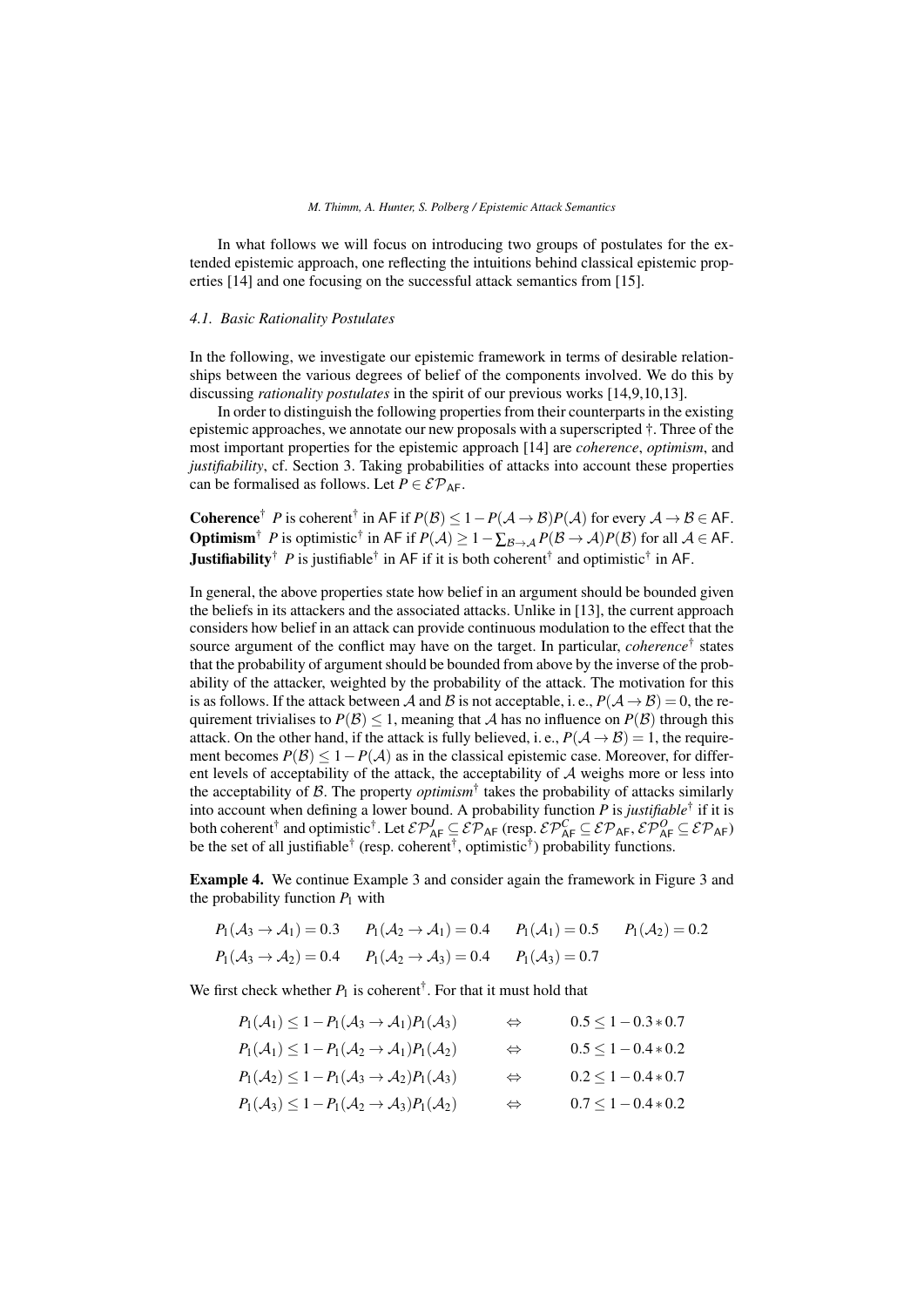#### *M. Thimm, A. Hunter, S. Polberg / Epistemic Attack Semantics*

In what follows we will focus on introducing two groups of postulates for the extended epistemic approach, one reflecting the intuitions behind classical epistemic properties [14] and one focusing on the successful attack semantics from [15].

#### *4.1. Basic Rationality Postulates*

In the following, we investigate our epistemic framework in terms of desirable relationships between the various degrees of belief of the components involved. We do this by discussing *rationality postulates* in the spirit of our previous works [14,9,10,13].

In order to distinguish the following properties from their counterparts in the existing epistemic approaches, we annotate our new proposals with a superscripted †. Three of the most important properties for the epistemic approach [14] are *coherence*, *optimism*, and *justifiability*, cf. Section 3. Taking probabilities of attacks into account these properties can be formalised as follows. Let  $P \in \mathcal{EP}_{AF}$ .

Coherence<sup>†</sup> *P* is coherent<sup>†</sup> in AF if  $P(B) \le 1 - P(A \to B)P(A)$  for every  $A \to B \in$  AF. **Optimism**<sup>†</sup> *P* is optimistic<sup>†</sup> in AF if  $P(A) \ge 1 - \sum_{\mathcal{B} \to \mathcal{A}} P(\mathcal{B} \to \mathcal{A}) P(\mathcal{B})$  for all  $\mathcal{A} \in$  AF. **Justifiability**<sup>†</sup> P is justifiable<sup>†</sup> in AF if it is both coherent<sup>†</sup> and optimistic<sup>†</sup> in AF.

In general, the above properties state how belief in an argument should be bounded given the beliefs in its attackers and the associated attacks. Unlike in [13], the current approach considers how belief in an attack can provide continuous modulation to the effect that the source argument of the conflict may have on the target. In particular, *coherence*† states that the probability of argument should be bounded from above by the inverse of the probability of the attacker, weighted by the probability of the attack. The motivation for this is as follows. If the attack between A and B is not acceptable, i. e.,  $P(A \rightarrow B) = 0$ , the requirement trivialises to  $P(\mathcal{B}) \leq 1$ , meaning that A has no influence on  $P(\mathcal{B})$  through this attack. On the other hand, if the attack is fully believed, i.e.,  $P(A \rightarrow B) = 1$ , the requirement becomes  $P(\mathcal{B}) \leq 1 - P(\mathcal{A})$  as in the classical epistemic case. Moreover, for different levels of acceptability of the attack, the acceptability of A weighs more or less into the acceptability of  $\beta$ . The property *optimism*<sup>†</sup> takes the probability of attacks similarly into account when defining a lower bound. A probability function *P* is *justifiable*† if it is both coherent<sup>†</sup> and optimistic<sup>†</sup>. Let  $\mathcal{EP}^J_{AF} \subseteq \mathcal{EP}_{AF}$  (resp.  $\mathcal{EP}^C_{AF} \subseteq \mathcal{EP}_{AF}$ ,  $\mathcal{EP}^O_{AF} \subseteq \mathcal{EP}_{AF}$ ) be the set of all justifiable<sup>†</sup> (resp. coherent<sup>†</sup>, optimistic<sup>†</sup>) probability functions.

Example 4. We continue Example 3 and consider again the framework in Figure 3 and the probability function  $P_1$  with

$$
P_1(A_3 \rightarrow A_1) = 0.3
$$
  $P_1(A_2 \rightarrow A_1) = 0.4$   $P_1(A_1) = 0.5$   $P_1(A_2) = 0.2$   
 $P_1(A_3 \rightarrow A_2) = 0.4$   $P_1(A_2 \rightarrow A_3) = 0.4$   $P_1(A_3) = 0.7$ 

We first check whether  $P_1$  is coherent<sup>†</sup>. For that it must hold that

| $P_1(\mathcal{A}_1) \leq 1 - P_1(\mathcal{A}_3 \rightarrow \mathcal{A}_1) P_1(\mathcal{A}_3)$ | $\Leftrightarrow$ | $0.5 \leq 1 - 0.3 * 0.7$ |
|-----------------------------------------------------------------------------------------------|-------------------|--------------------------|
| $P_1(\mathcal{A}_1) \leq 1 - P_1(\mathcal{A}_2 \rightarrow \mathcal{A}_1)P_1(\mathcal{A}_2)$  | $\Leftrightarrow$ | $0.5 \leq 1 - 0.4 * 0.2$ |
| $P_1(\mathcal{A}_2) \leq 1 - P_1(\mathcal{A}_3 \rightarrow \mathcal{A}_2)P_1(\mathcal{A}_3)$  | $\Leftrightarrow$ | $0.2 \leq 1 - 0.4 * 0.7$ |
| $P_1(\mathcal{A}_3) \leq 1 - P_1(\mathcal{A}_2 \rightarrow \mathcal{A}_3)P_1(\mathcal{A}_2)$  | $\Leftrightarrow$ | $0.7 \leq 1 - 0.4 * 0.2$ |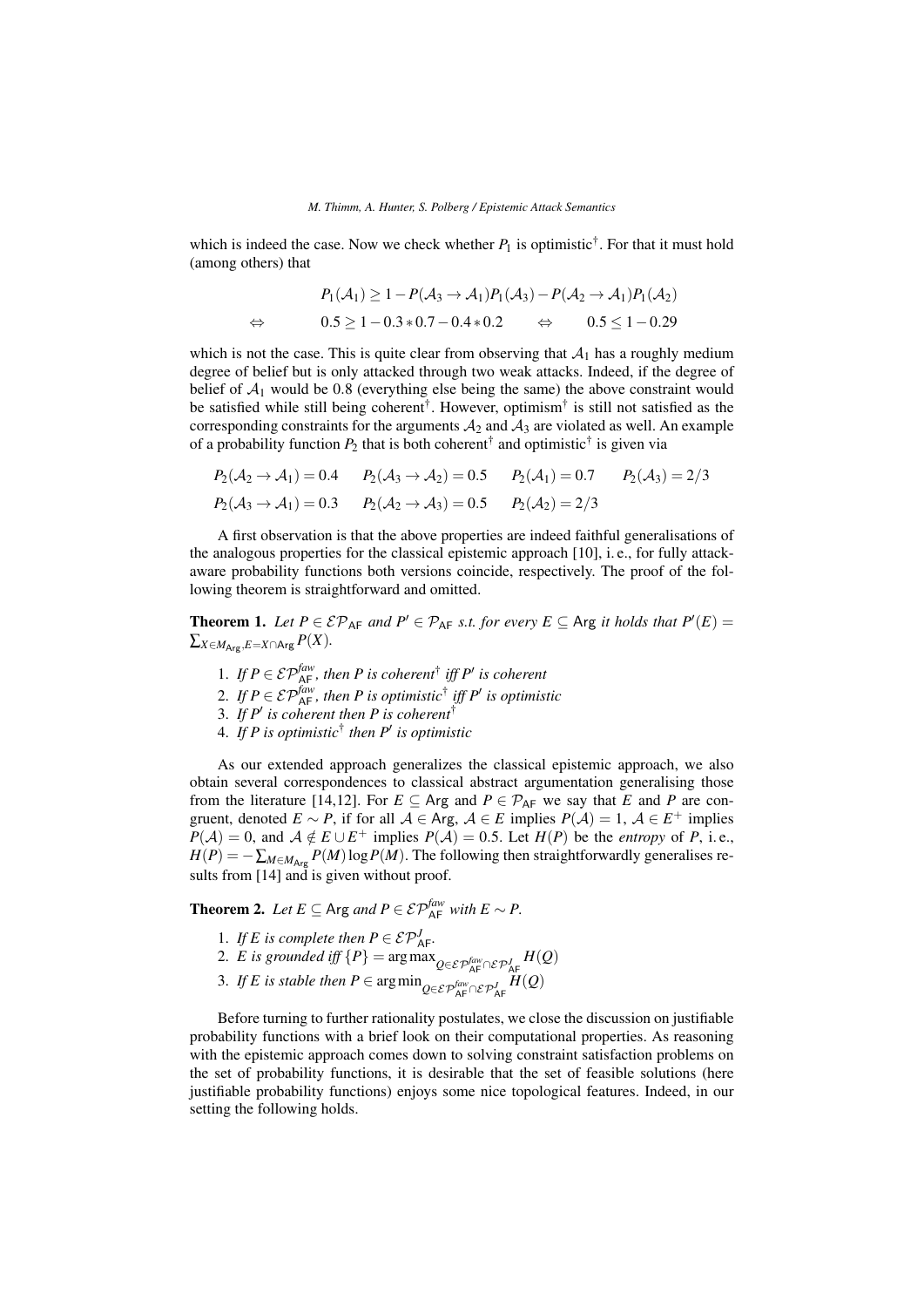which is indeed the case. Now we check whether  $P_1$  is optimistic<sup>†</sup>. For that it must hold (among others) that

$$
P_1(\mathcal{A}_1) \ge 1 - P(\mathcal{A}_3 \to \mathcal{A}_1)P_1(\mathcal{A}_3) - P(\mathcal{A}_2 \to \mathcal{A}_1)P_1(\mathcal{A}_2)
$$
  
\n
$$
\Leftrightarrow \qquad 0.5 \ge 1 - 0.3 * 0.7 - 0.4 * 0.2 \qquad \Leftrightarrow \qquad 0.5 \le 1 - 0.29
$$

which is not the case. This is quite clear from observing that  $A_1$  has a roughly medium degree of belief but is only attacked through two weak attacks. Indeed, if the degree of belief of  $A_1$  would be 0.8 (everything else being the same) the above constraint would be satisfied while still being coherent<sup>†</sup>. However, optimism<sup>†</sup> is still not satisfied as the corresponding constraints for the arguments  $A_2$  and  $A_3$  are violated as well. An example of a probability function  $P_2$  that is both coherent<sup>†</sup> and optimistic<sup>†</sup> is given via

$$
P_2(\mathcal{A}_2 \to \mathcal{A}_1) = 0.4
$$
  $P_2(\mathcal{A}_3 \to \mathcal{A}_2) = 0.5$   $P_2(\mathcal{A}_1) = 0.7$   $P_2(\mathcal{A}_3) = 2/3$   
\n $P_2(\mathcal{A}_3 \to \mathcal{A}_1) = 0.3$   $P_2(\mathcal{A}_2 \to \mathcal{A}_3) = 0.5$   $P_2(\mathcal{A}_2) = 2/3$ 

A first observation is that the above properties are indeed faithful generalisations of the analogous properties for the classical epistemic approach [10], i. e., for fully attackaware probability functions both versions coincide, respectively. The proof of the following theorem is straightforward and omitted.

**Theorem 1.** Let  $P \in \mathcal{EP}_{AF}$  and  $P' \in \mathcal{P}_{AF}$  *s.t. for every*  $E \subseteq \text{Arg } it$  holds that  $P'(E) =$  $\sum_{X \in M_{\text{A} \text{re}}, E=X} \cap \text{A}$ rg  $P(X)$ .

- 1. If  $P \in \mathcal{EP}_{\mathsf{AF}}^{\mathit{faw}}$ , then P is coherent<sup>†</sup> iff P' is coherent
- 2. If  $P \in \mathcal{EP}_{AF}^{faw}$ , then P is optimistic<sup>†</sup> iff P' is optimistic
- 3. If  $P'$  is coherent then P is coherent<sup>†</sup>
- 4. *If P is optimistic*† *then P*<sup>0</sup> *is optimistic*

As our extended approach generalizes the classical epistemic approach, we also obtain several correspondences to classical abstract argumentation generalising those from the literature [14,12]. For  $E \subseteq \text{Arg}$  and  $P \in \mathcal{P}_{\text{AF}}$  we say that *E* and *P* are congruent, denoted  $E \sim P$ , if for all  $A \in \text{Arg}$ ,  $A \in E$  implies  $P(A) = 1$ ,  $A \in E^+$  implies  $P(A) = 0$ , and  $A \notin E \cup E^+$  implies  $P(A) = 0.5$ . Let  $H(P)$  be the *entropy* of *P*, i.e.,  $H(P) = -\sum_{M \in M_{\text{Arg}}} P(M) \log P(M)$ . The following then straightforwardly generalises results from [14] and is given without proof.

**Theorem 2.** *Let*  $E \subseteq \text{Arg}$  *and*  $P \in \mathcal{EP}_{\text{AF}}^{faw}$  *with*  $E \sim P$ .

- 1. If *E* is complete then  $P \in \mathcal{EP}^J_{AF}$ .
- 2. *E* is grounded iff  ${P}$  = arg max  $_{Q \in \mathcal{E} \mathcal{P}_{\mathsf{AF}}^{faw} \cap \mathcal{E} \mathcal{P}_{\mathsf{AF}}^{f}} H(Q)$
- 3. *If E is stable then*  $P \in \arg \min_{Q \in \mathcal{EP}_{\mathsf{AF}}^{\text{faw}} \cap \mathcal{EP}_{\mathsf{AF}}^{\text{f}} H(Q)$

Before turning to further rationality postulates, we close the discussion on justifiable probability functions with a brief look on their computational properties. As reasoning with the epistemic approach comes down to solving constraint satisfaction problems on the set of probability functions, it is desirable that the set of feasible solutions (here justifiable probability functions) enjoys some nice topological features. Indeed, in our setting the following holds.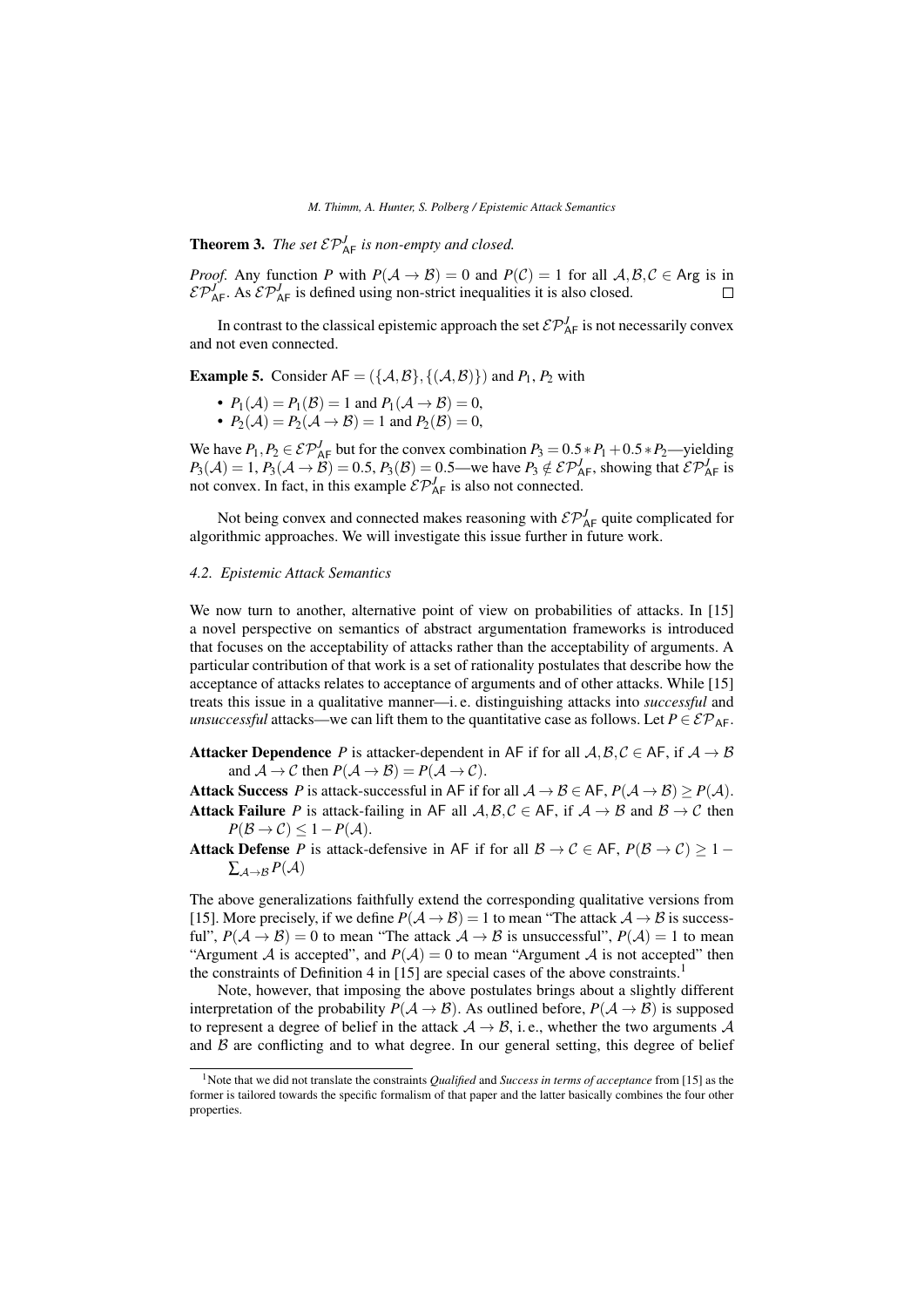*M. Thimm, A. Hunter, S. Polberg / Epistemic Attack Semantics*

**Theorem 3.** *The set*  $\mathcal{EP}_{AF}^J$  *is non-empty and closed.* 

*Proof.* Any function *P* with  $P(A \to B) = 0$  and  $P(C) = 1$  for all  $A, B, C \in \text{Arg}$  is in  $\mathcal{E} \mathcal{P}_{AF}^J$ . As  $\mathcal{E} \mathcal{P}_{AF}^J$  is defined using non-strict inequalities it is also closed.  $\Box$ 

In contrast to the classical epistemic approach the set  $\mathcal{EP}_{AF}^J$  is not necessarily convex and not even connected.

**Example 5.** Consider  $AF = (\{A, B\}, \{(\mathcal{A}, \mathcal{B})\})$  and  $P_1, P_2$  with

- $P_1(\mathcal{A}) = P_1(\mathcal{B}) = 1$  and  $P_1(\mathcal{A} \to \mathcal{B}) = 0$ ,
- $P_2(\mathcal{A}) = P_2(\mathcal{A} \to \mathcal{B}) = 1$  and  $P_2(\mathcal{B}) = 0$ ,

We have  $P_1, P_2 \in \mathcal{EP}^J_{AF}$  but for the convex combination  $P_3 = 0.5 * P_1 + 0.5 * P_2$ —yielding  $P_3(\mathcal{A}) = 1$ ,  $P_3(\mathcal{A} \to \mathcal{B}) = 0.5$ ,  $P_3(\mathcal{B}) = 0.5$ —we have  $P_3 \notin \mathcal{EP}^J_{AF}$ , showing that  $\mathcal{EP}^J_{AF}$  is not convex. In fact, in this example  $\mathcal{E} \mathcal{P}_{AF}^J$  is also not connected.

Not being convex and connected makes reasoning with  $\mathcal{E} \mathcal{P}_{AF}^J$  quite complicated for algorithmic approaches. We will investigate this issue further in future work.

### *4.2. Epistemic Attack Semantics*

We now turn to another, alternative point of view on probabilities of attacks. In [15] a novel perspective on semantics of abstract argumentation frameworks is introduced that focuses on the acceptability of attacks rather than the acceptability of arguments. A particular contribution of that work is a set of rationality postulates that describe how the acceptance of attacks relates to acceptance of arguments and of other attacks. While [15] treats this issue in a qualitative manner—i. e. distinguishing attacks into *successful* and *unsuccessful* attacks—we can lift them to the quantitative case as follows. Let  $P \in \mathcal{EP}_{AF}$ .

**Attacker Dependence** *P* is attacker-dependent in AF if for all  $A, B, C \in AF$ , if  $A \rightarrow B$ and  $A \to C$  then  $P(A \to B) = P(A \to C)$ .

Attack Success *P* is attack-successful in AF if for all  $A \rightarrow B \in AF$ ,  $P(A \rightarrow B) > P(A)$ . **Attack Failure** *P* is attack-failing in AF all  $A, B, C \in AF$ , if  $A \rightarrow B$  and  $B \rightarrow C$  then  $P(\mathcal{B} \to \mathcal{C}) \leq 1 - P(\mathcal{A}).$ 

Attack Defense *P* is attack-defensive in AF if for all  $B \to C \in AF$ ,  $P(B \to C) \ge 1 \sum_{\mathcal{A}\rightarrow\mathcal{B}}P(\mathcal{A})$ 

The above generalizations faithfully extend the corresponding qualitative versions from [15]. More precisely, if we define  $P(\mathcal{A} \to \mathcal{B}) = 1$  to mean "The attack  $\mathcal{A} \to \mathcal{B}$  is successful",  $P(A \rightarrow B) = 0$  to mean "The attack  $A \rightarrow B$  is unsuccessful",  $P(A) = 1$  to mean "Argument A is accepted", and  $P(A) = 0$  to mean "Argument A is not accepted" then the constraints of Definition 4 in [15] are special cases of the above constraints.<sup>1</sup>

Note, however, that imposing the above postulates brings about a slightly different interpretation of the probability  $P(A \to B)$ . As outlined before,  $P(A \to B)$  is supposed to represent a degree of belief in the attack  $A \rightarrow B$ , i.e., whether the two arguments A and  $\beta$  are conflicting and to what degree. In our general setting, this degree of belief

<sup>1</sup>Note that we did not translate the constraints *Qualified* and *Success in terms of acceptance* from [15] as the former is tailored towards the specific formalism of that paper and the latter basically combines the four other properties.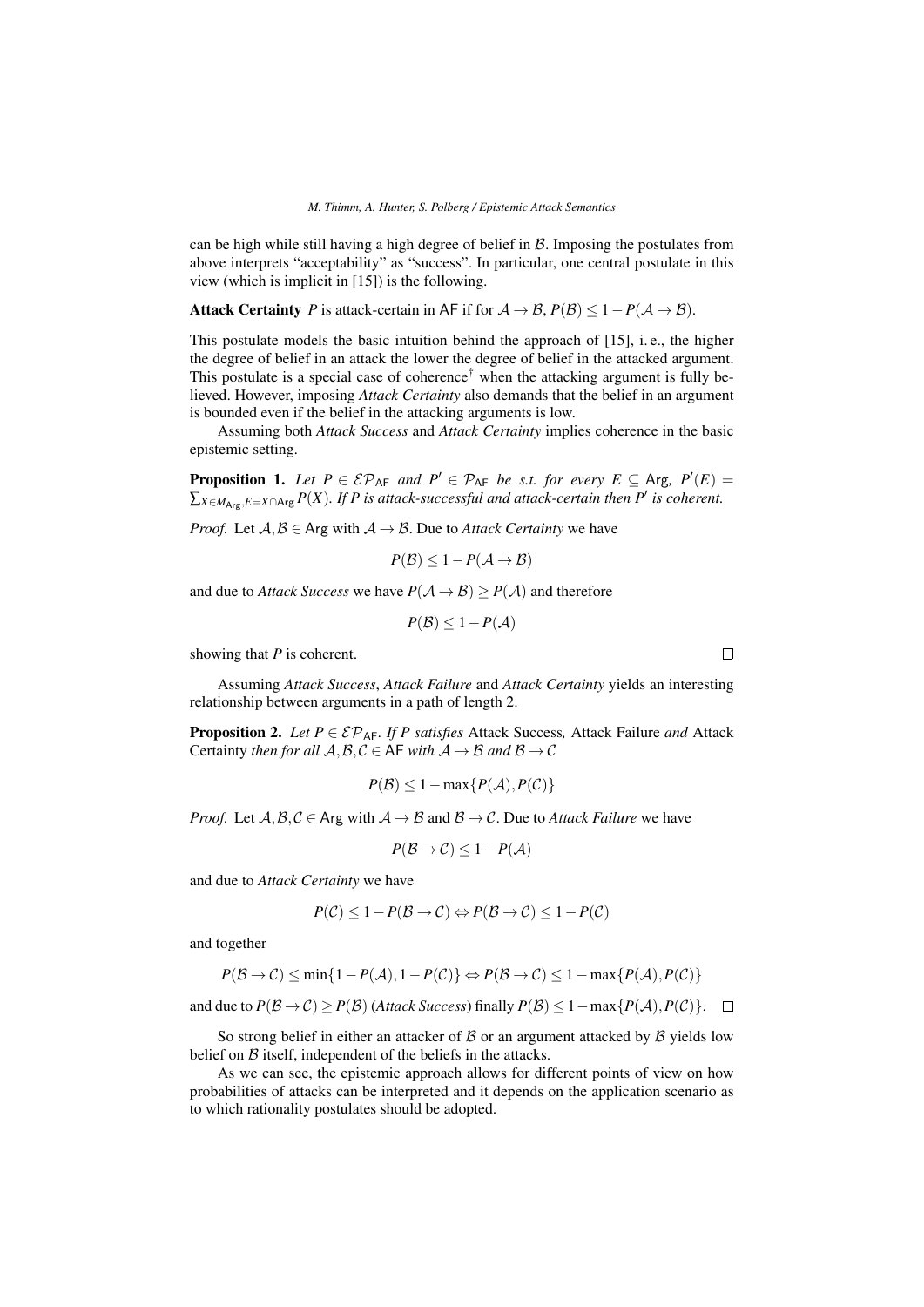can be high while still having a high degree of belief in  $B$ . Imposing the postulates from above interprets "acceptability" as "success". In particular, one central postulate in this view (which is implicit in [15]) is the following.

Attack Certainty *P* is attack-certain in AF if for  $A \rightarrow B$ ,  $P(B) \le 1 - P(A \rightarrow B)$ .

This postulate models the basic intuition behind the approach of [15], i. e., the higher the degree of belief in an attack the lower the degree of belief in the attacked argument. This postulate is a special case of coherence<sup>†</sup> when the attacking argument is fully believed. However, imposing *Attack Certainty* also demands that the belief in an argument is bounded even if the belief in the attacking arguments is low.

Assuming both *Attack Success* and *Attack Certainty* implies coherence in the basic epistemic setting.

**Proposition 1.** Let  $P \in \mathcal{EP}_{AF}$  and  $P' \in \mathcal{P}_{AF}$  be s.t. for every  $E \subseteq \text{Arg}, P'(E) =$  $\sum_{X \in M_{\text{Arg}}, E=X \cap \text{Arg}} P(X)$ . If P is attack-successful and attack-certain then P' is coherent.

*Proof.* Let  $A, B \in \text{Arg with } A \rightarrow B$ . Due to *Attack Certainty* we have

$$
P(\mathcal{B}) \leq 1 - P(\mathcal{A} \to \mathcal{B})
$$

and due to *Attack Success* we have  $P(A \rightarrow \mathcal{B}) > P(A)$  and therefore

 $P(\mathcal{B}) \leq 1 - P(\mathcal{A})$ 

showing that *P* is coherent.

Assuming *Attack Success*, *Attack Failure* and *Attack Certainty* yields an interesting relationship between arguments in a path of length 2.

**Proposition 2.** *Let*  $P \in \mathcal{EP}_{AF}$ *. If*  $P$  *satisfies* Attack Success, Attack Failure *and* Attack Certainty *then for all*  $A, B, C \in$  AF *with*  $A \rightarrow B$  *and*  $B \rightarrow C$ 

$$
P(\mathcal{B}) \le 1 - \max\{P(\mathcal{A}), P(\mathcal{C})\}
$$

*Proof.* Let  $A, B, C \in \text{Arg with } A \to B$  and  $B \to C$ . Due to *Attack Failure* we have

$$
P(\mathcal{B} \to \mathcal{C}) \le 1 - P(\mathcal{A})
$$

and due to *Attack Certainty* we have

$$
P(\mathcal{C}) \le 1 - P(\mathcal{B} \to \mathcal{C}) \Leftrightarrow P(\mathcal{B} \to \mathcal{C}) \le 1 - P(\mathcal{C})
$$

and together

$$
P(\mathcal{B} \to \mathcal{C}) \le \min\{1 - P(\mathcal{A}), 1 - P(\mathcal{C})\} \Leftrightarrow P(\mathcal{B} \to \mathcal{C}) \le 1 - \max\{P(\mathcal{A}), P(\mathcal{C})\}
$$

and due to  $P(\mathcal{B} \to \mathcal{C}) \ge P(\mathcal{B})$  (*Attack Success*) finally  $P(\mathcal{B}) \le 1 - \max\{P(\mathcal{A}), P(\mathcal{C})\}.$  □

So strong belief in either an attacker of  $\beta$  or an argument attacked by  $\beta$  yields low belief on  $\beta$  itself, independent of the beliefs in the attacks.

As we can see, the epistemic approach allows for different points of view on how probabilities of attacks can be interpreted and it depends on the application scenario as to which rationality postulates should be adopted.

 $\Box$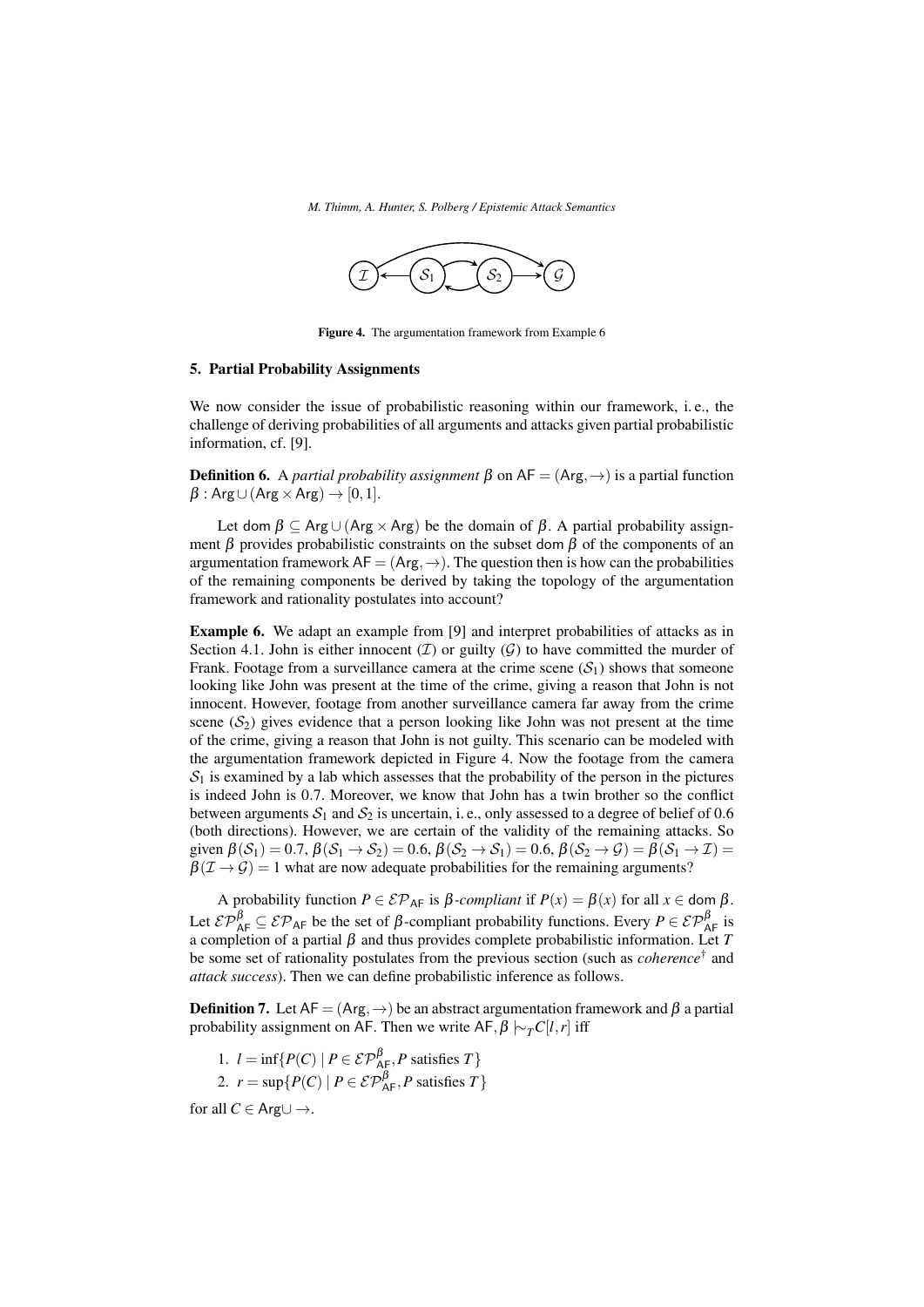*M. Thimm, A. Hunter, S. Polberg / Epistemic Attack Semantics*



Figure 4. The argumentation framework from Example 6

#### 5. Partial Probability Assignments

We now consider the issue of probabilistic reasoning within our framework, i. e., the challenge of deriving probabilities of all arguments and attacks given partial probabilistic information, cf. [9].

**Definition 6.** A *partial probability assignment* β on  $AF = (Arg, \rightarrow)$  is a partial function  $\beta$ : Arg∪(Arg × Arg)  $\rightarrow$  [0, 1].

Let dom  $\beta \subset \text{Arg} \cup (\text{Arg} \times \text{Arg})$  be the domain of  $\beta$ . A partial probability assignment  $\beta$  provides probabilistic constraints on the subset dom  $\beta$  of the components of an argumentation framework  $AF = (Arg, \rightarrow)$ . The question then is how can the probabilities of the remaining components be derived by taking the topology of the argumentation framework and rationality postulates into account?

Example 6. We adapt an example from [9] and interpret probabilities of attacks as in Section 4.1. John is either innocent  $(\mathcal{I})$  or guilty  $(\mathcal{G})$  to have committed the murder of Frank. Footage from a surveillance camera at the crime scene  $(S_1)$  shows that someone looking like John was present at the time of the crime, giving a reason that John is not innocent. However, footage from another surveillance camera far away from the crime scene  $(S_2)$  gives evidence that a person looking like John was not present at the time of the crime, giving a reason that John is not guilty. This scenario can be modeled with the argumentation framework depicted in Figure 4. Now the footage from the camera  $S_1$  is examined by a lab which assesses that the probability of the person in the pictures is indeed John is 0.7. Moreover, we know that John has a twin brother so the conflict between arguments  $S_1$  and  $S_2$  is uncertain, i.e., only assessed to a degree of belief of 0.6 (both directions). However, we are certain of the validity of the remaining attacks. So given  $\beta(S_1) = 0.7$ ,  $\beta(S_1 \rightarrow S_2) = 0.6$ ,  $\beta(S_2 \rightarrow S_1) = 0.6$ ,  $\beta(S_2 \rightarrow \mathcal{G}) = \beta(S_1 \rightarrow \mathcal{I}) =$  $\beta(\mathcal{I} \rightarrow \mathcal{G}) = 1$  what are now adequate probabilities for the remaining arguments?

A probability function  $P \in \mathcal{EP}_{AF}$  is  $\beta$ -*compliant* if  $P(x) = \beta(x)$  for all  $x \in \text{dom }\beta$ . Let  $\mathcal{EP}_{AF}^{\beta} \subseteq \mathcal{EP}_{AF}$  be the set of  $\beta$ -compliant probability functions. Every  $P \in \mathcal{EP}_{AF}^{\beta}$  is a completion of a partial β and thus provides complete probabilistic information. Let *T* be some set of rationality postulates from the previous section (such as *coherence*† and *attack success*). Then we can define probabilistic inference as follows.

**Definition 7.** Let  $AF = (Arg, \rightarrow)$  be an abstract argumentation framework and  $\beta$  a partial probability assignment on AF. Then we write AF,  $\beta \sim_T C[l, r]$  iff

1. 
$$
l = \inf \{ P(C) \mid P \in \mathcal{EP}_{AF}^{\beta}, P \text{ satisfies } T \}
$$
  
2.  $r = \sup \{ P(C) \mid P \in \mathcal{EP}_{AF}^{\beta}, P \text{ satisfies } T \}$ 

for all  $C \in \text{Arg} \cup \rightarrow$ .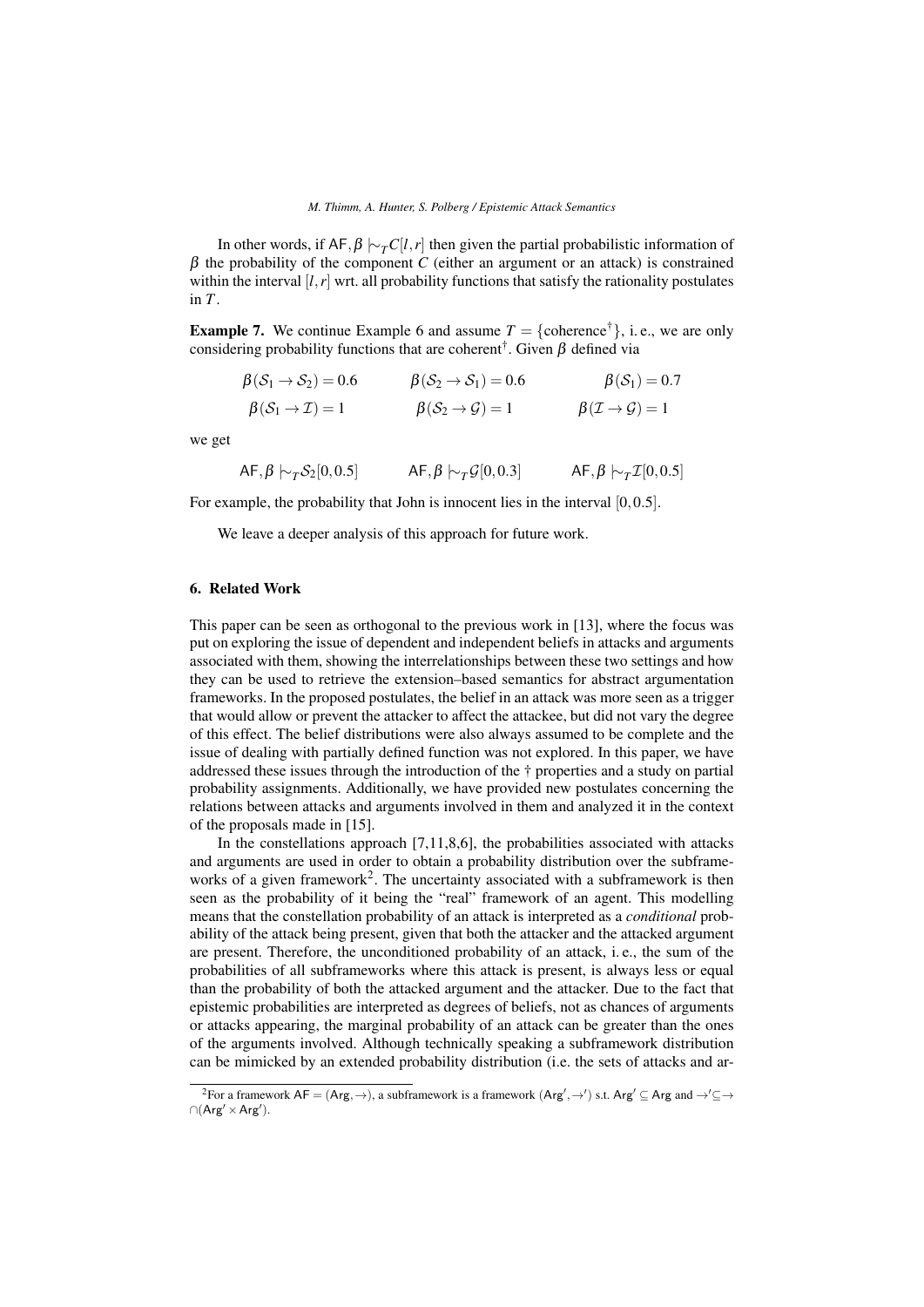In other words, if AF,  $\beta \sim_T C[l, r]$  then given the partial probabilistic information of  $β$  the probability of the component *C* (either an argument or an attack) is constrained within the interval  $[I, r]$  wrt. all probability functions that satisfy the rationality postulates in *T*.

**Example 7.** We continue Example 6 and assume  $T = \{ \text{coherence}^{\dagger} \}, \text{ i. e., we are only}$ considering probability functions that are coherent<sup>†</sup>. Given  $\beta$  defined via

$$
\begin{aligned}\n\beta(\mathcal{S}_1 \to \mathcal{S}_2) &= 0.6 & \beta(\mathcal{S}_2 \to \mathcal{S}_1) &= 0.6 & \beta(\mathcal{S}_1) &= 0.7 \\
\beta(\mathcal{S}_1 \to \mathcal{I}) &= 1 & \beta(\mathcal{S}_2 \to \mathcal{G}) &= 1 & \beta(\mathcal{I} \to \mathcal{G}) &= 1\n\end{aligned}
$$

we get

$$
\mathsf{AF}, \beta \hspace{0.2em}\sim_{T} \hspace{0.2em} \mathcal{S}_{2}[0, 0.5] \hspace{1cm} \mathsf{AF}, \beta \hspace{0.2em}\sim_{T} \hspace{0.2em} \mathcal{G}[0, 0.3] \hspace{1cm} \mathsf{AF}, \beta \hspace{0.2em}\sim_{T} \hspace{0.2em} \mathcal{I}[0, 0.5]
$$

For example, the probability that John is innocent lies in the interval [0,0.5].

We leave a deeper analysis of this approach for future work.

# 6. Related Work

This paper can be seen as orthogonal to the previous work in [13], where the focus was put on exploring the issue of dependent and independent beliefs in attacks and arguments associated with them, showing the interrelationships between these two settings and how they can be used to retrieve the extension–based semantics for abstract argumentation frameworks. In the proposed postulates, the belief in an attack was more seen as a trigger that would allow or prevent the attacker to affect the attackee, but did not vary the degree of this effect. The belief distributions were also always assumed to be complete and the issue of dealing with partially defined function was not explored. In this paper, we have addressed these issues through the introduction of the † properties and a study on partial probability assignments. Additionally, we have provided new postulates concerning the relations between attacks and arguments involved in them and analyzed it in the context of the proposals made in [15].

In the constellations approach  $[7,11,8,6]$ , the probabilities associated with attacks and arguments are used in order to obtain a probability distribution over the subframeworks of a given framework<sup>2</sup>. The uncertainty associated with a subframework is then seen as the probability of it being the "real" framework of an agent. This modelling means that the constellation probability of an attack is interpreted as a *conditional* probability of the attack being present, given that both the attacker and the attacked argument are present. Therefore, the unconditioned probability of an attack, i. e., the sum of the probabilities of all subframeworks where this attack is present, is always less or equal than the probability of both the attacked argument and the attacker. Due to the fact that epistemic probabilities are interpreted as degrees of beliefs, not as chances of arguments or attacks appearing, the marginal probability of an attack can be greater than the ones of the arguments involved. Although technically speaking a subframework distribution can be mimicked by an extended probability distribution (i.e. the sets of attacks and ar-

<sup>&</sup>lt;sup>2</sup>For a framework  $AF = (Arg, \rightarrow)$ , a subframework is a framework  $(Arg', \rightarrow')$  s.t.  $Arg' \subseteq Arg$  and  $\rightarrow' \subseteq \rightarrow$  $\cap$ (Arg' × Arg').